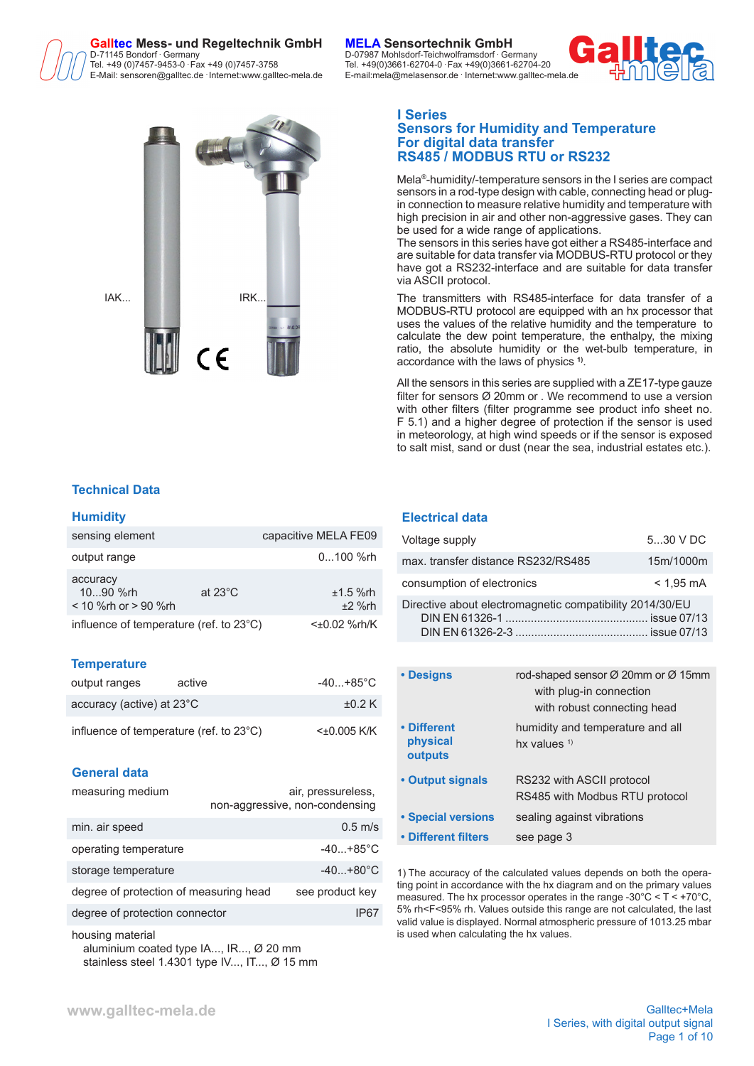# **Galltec Mess- und Regeltechnik GmbH MELA Sensortechnik GmbH** D-71145 Bondorf **.**

Tel. +49 (0)7457-9453-0 **.** Fax +49 (0)7457-3758 Tel. +49(0)3661-62704-0 **.** Fax +49(0)3661-62704-20 E-Mail: sensoren@galltec.de **Internet:www.galltec-mela.de** 



### **Technical Data**

#### **Humidity**

| sensing element                                |                   | capacitive MELA FE09   |
|------------------------------------------------|-------------------|------------------------|
| output range                                   |                   | $0100$ %rh             |
| accuracy<br>1090 %rh<br>< 10 % rh or > 90 % rh | at $23^{\circ}$ C | $±1.5$ %rh<br>$±2$ %rh |
| influence of temperature (ref. to 23°C)        |                   | $<\pm 0.02$ %rh/K      |

### **Temperature**

| output ranges                           | active | -40…+85°C        |
|-----------------------------------------|--------|------------------|
| accuracy (active) at $23^{\circ}$ C     |        | $\pm 0.2$ K      |
| influence of temperature (ref. to 23°C) |        | $<\pm 0.005$ K/K |

#### **General data**

| measuring medium                       | air, pressureless,<br>non-aggressive, non-condensing |
|----------------------------------------|------------------------------------------------------|
| min. air speed                         | $0.5$ m/s                                            |
| operating temperature                  | $-40+85^{\circ}$ C                                   |
| storage temperature                    | $-40+80^{\circ}C$                                    |
| degree of protection of measuring head | see product key                                      |
| degree of protection connector         | IP67                                                 |

housing material aluminium coated type IA..., IR..., Ø 20 mm stainless steel 1.4301 type IV..., IT..., Ø 15 mm

 Germany D-07987 Mohlsdorf-Teichwolframsdorf **.** Germany E-mail:mela@melasensor.de Internet:www.galltec-mela.de



## **I Series**

### **Sensors for Humidity and Temperature For digital data transfer RS485 / MODBUS RTU or RS232**

Mela®-humidity/-temperature sensors in the I series are compact sensors in a rod-type design with cable, connecting head or plugin connection to measure relative humidity and temperature with high precision in air and other non-aggressive gases. They can be used for a wide range of applications.

The sensors in this series have got either a RS485-interface and are suitable for data transfer via MODBUS-RTU protocol or they have got a RS232-interface and are suitable for data transfer via ASCII protocol.

The transmitters with RS485-interface for data transfer of a MODBUS-RTU protocol are equipped with an hx processor that uses the values of the relative humidity and the temperature to calculate the dew point temperature, the enthalpy, the mixing ratio, the absolute humidity or the wet-bulb temperature, in accordance with the laws of physics **1)**.

All the sensors in this series are supplied with a ZE17-type gauze filter for sensors Ø 20mm or . We recommend to use a version with other filters (filter programme see product info sheet no. F 5.1) and a higher degree of protection if the sensor is used in meteorology, at high wind speeds or if the sensor is exposed to salt mist, sand or dust (near the sea, industrial estates etc.).

#### **Electrical data**

| Voltage supply                                           | 530 V DC            |
|----------------------------------------------------------|---------------------|
| max. transfer distance RS232/RS485                       | 15m/1000m           |
| consumption of electronics                               | $< 1.95 \text{ mA}$ |
| Directive about electromagnetic compatibility 2014/30/EU |                     |

| • Designs                          | rod-shaped sensor $\varnothing$ 20mm or $\varnothing$ 15mm<br>with plug-in connection<br>with robust connecting head |
|------------------------------------|----------------------------------------------------------------------------------------------------------------------|
| • Different<br>physical<br>outputs | humidity and temperature and all<br>hx values $1$                                                                    |
| • Output signals                   | RS232 with ASCII protocol<br>RS485 with Modbus RTU protocol                                                          |
| • Special versions                 | sealing against vibrations                                                                                           |
| • Different filters                | see page 3                                                                                                           |

1) The accuracy of the calculated values depends on both the operating point in accordance with the hx diagram and on the primary values measured. The hx processor operates in the range -30°C < T < +70°C, 5% rh<F<95% rh. Values outside this range are not calculated, the last valid value is displayed. Normal atmospheric pressure of 1013.25 mbar is used when calculating the hx values.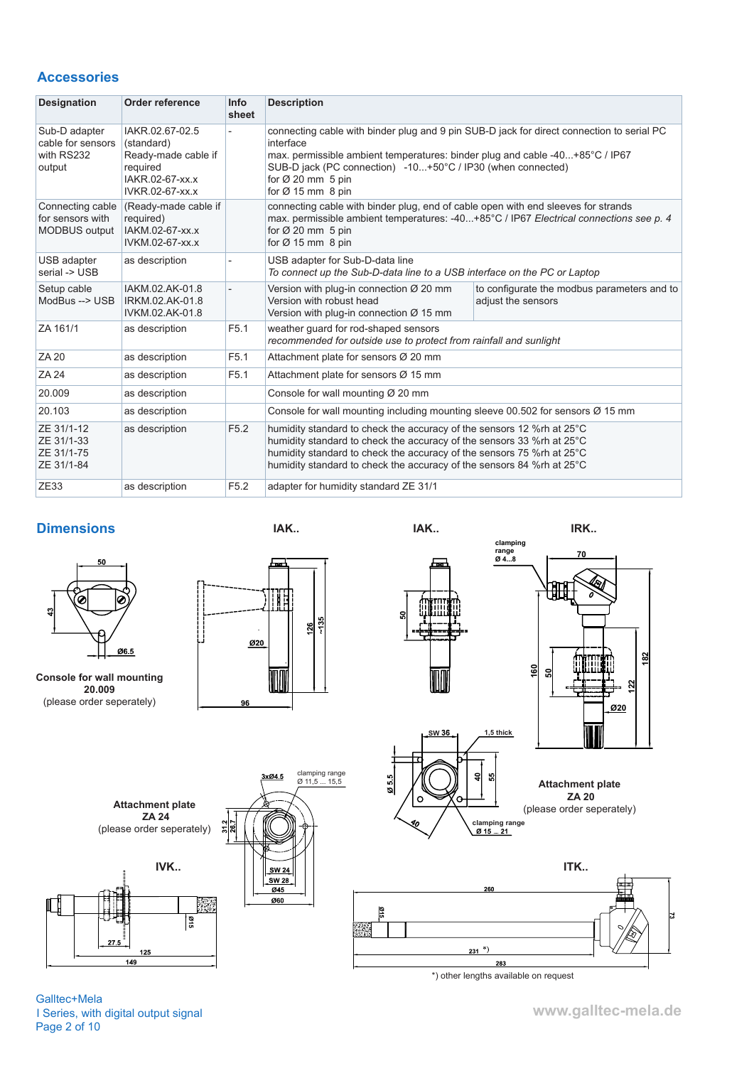# **Accessories**

| <b>Designation</b>                                           | Order reference                                                                                        | <b>Info</b><br>sheet | <b>Description</b>                                                                                                                                                                                                                                                                                              |                                                                   |
|--------------------------------------------------------------|--------------------------------------------------------------------------------------------------------|----------------------|-----------------------------------------------------------------------------------------------------------------------------------------------------------------------------------------------------------------------------------------------------------------------------------------------------------------|-------------------------------------------------------------------|
| Sub-D adapter<br>cable for sensors<br>with RS232<br>output   | IAKR.02.67-02.5<br>(standard)<br>Ready-made cable if<br>required<br>IAKR.02-67-xx.x<br>IVKR.02-67-xx.x |                      | connecting cable with binder plug and 9 pin SUB-D jack for direct connection to serial PC<br>interface<br>max. permissible ambient temperatures: binder plug and cable -40+85°C / IP67<br>SUB-D jack (PC connection) -10+50°C / IP30 (when connected)<br>for $\varnothing$ 20 mm 5 pin<br>for $Ø$ 15 mm $8$ pin |                                                                   |
| Connecting cable<br>for sensors with<br><b>MODBUS</b> output | (Ready-made cable if<br>required)<br>IAKM.02-67-xx.x<br>IVKM.02-67-xx.x                                |                      | connecting cable with binder plug, end of cable open with end sleeves for strands<br>max. permissible ambient temperatures: -40+85°C / IP67 Electrical connections see p. 4<br>for $\varnothing$ 20 mm 5 pin<br>for $\varnothing$ 15 mm 8 pin                                                                   |                                                                   |
| USB adapter<br>serial -> USB                                 | as description                                                                                         |                      | USB adapter for Sub-D-data line<br>To connect up the Sub-D-data line to a USB interface on the PC or Laptop                                                                                                                                                                                                     |                                                                   |
| Setup cable<br>ModBus --> USB                                | IAKM.02.AK-01.8<br>IRKM.02.AK-01.8<br>IVKM.02.AK-01.8                                                  |                      | Version with plug-in connection $\varnothing$ 20 mm<br>Version with robust head<br>Version with plug-in connection $\varnothing$ 15 mm                                                                                                                                                                          | to configurate the modbus parameters and to<br>adjust the sensors |
| ZA 161/1                                                     | as description                                                                                         | F <sub>5.1</sub>     | weather quard for rod-shaped sensors<br>recommended for outside use to protect from rainfall and sunlight                                                                                                                                                                                                       |                                                                   |
| <b>ZA 20</b>                                                 | as description                                                                                         | F <sub>5.1</sub>     | Attachment plate for sensors Ø 20 mm                                                                                                                                                                                                                                                                            |                                                                   |
| <b>ZA 24</b>                                                 | as description                                                                                         | F <sub>5.1</sub>     | Attachment plate for sensors Ø 15 mm                                                                                                                                                                                                                                                                            |                                                                   |
| 20.009                                                       | as description                                                                                         |                      | Console for wall mounting Ø 20 mm                                                                                                                                                                                                                                                                               |                                                                   |
| 20.103                                                       | as description                                                                                         |                      | Console for wall mounting including mounting sleeve 00.502 for sensors $\varnothing$ 15 mm                                                                                                                                                                                                                      |                                                                   |
| ZE 31/1-12<br>ZE 31/1-33<br>ZE 31/1-75<br>ZE 31/1-84         | as description                                                                                         | F <sub>5.2</sub>     | humidity standard to check the accuracy of the sensors 12 % rh at 25°C<br>humidity standard to check the accuracy of the sensors 33 %rh at 25°C<br>humidity standard to check the accuracy of the sensors 75 %rh at 25°C<br>humidity standard to check the accuracy of the sensors 84 % rh at 25°C              |                                                                   |
| ZE33                                                         | as description                                                                                         | F <sub>5.2</sub>     | adapter for humidity standard ZE 31/1                                                                                                                                                                                                                                                                           |                                                                   |

## **Dimensions**



**Console for wall mounting 20.009** (please order seperately)





3xØ4.5

 $\overline{045}$ 

Ø60

 $\frac{2}{36}$ 

clamping range Ø 11,5 ... 15,5







**Attachment plate ZA 20** (please order seperately)



Pag हि

 $\overline{149}$ 

Attachment plate<br>ZA 24 (please order seperately)

Galltec+Mela I Series, with digital output signal Page 2 of 10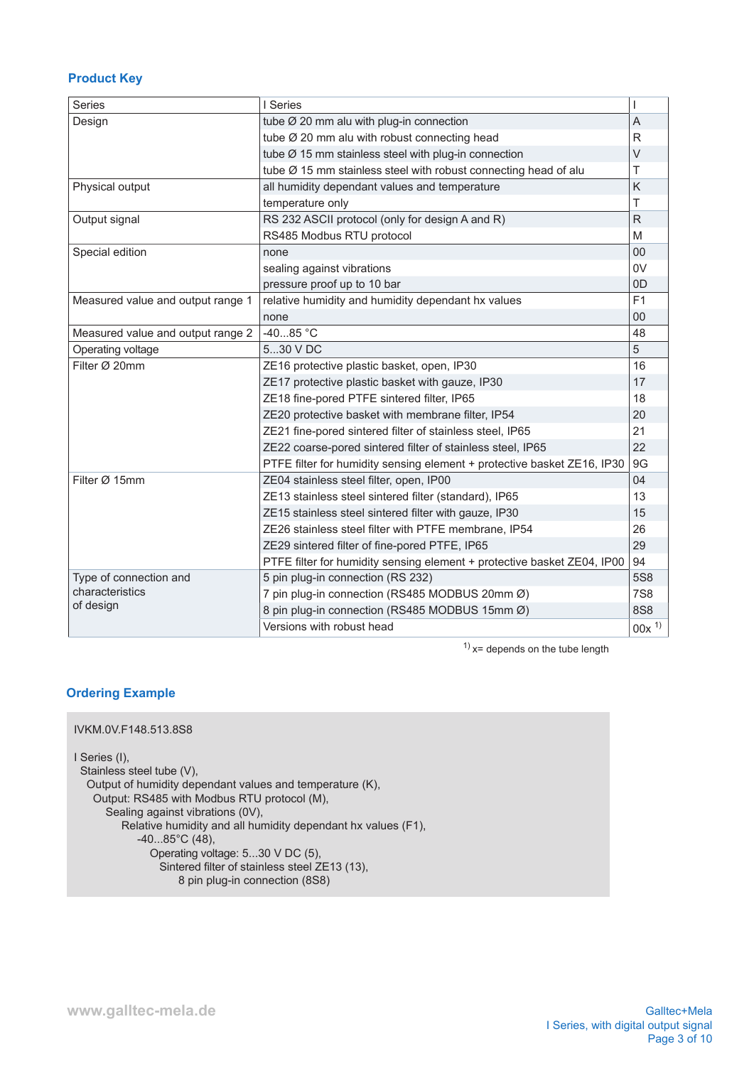# **Product Key**

| <b>Series</b>                     | I Series                                                                |                |
|-----------------------------------|-------------------------------------------------------------------------|----------------|
| Design                            | tube $\varnothing$ 20 mm alu with plug-in connection                    | $\overline{A}$ |
|                                   | tube Ø 20 mm alu with robust connecting head                            | R              |
|                                   | tube $\varnothing$ 15 mm stainless steel with plug-in connection        | $\vee$         |
|                                   | tube Ø 15 mm stainless steel with robust connecting head of alu         | Τ              |
| Physical output                   | all humidity dependant values and temperature                           | Κ              |
|                                   | temperature only                                                        | T              |
| Output signal                     | RS 232 ASCII protocol (only for design A and R)                         | $\mathsf{R}$   |
|                                   | RS485 Modbus RTU protocol                                               | M              |
| Special edition                   | none                                                                    | 00             |
|                                   | sealing against vibrations                                              | 0V             |
|                                   | pressure proof up to 10 bar                                             | 0 <sub>D</sub> |
| Measured value and output range 1 | relative humidity and humidity dependant hx values                      | F1             |
|                                   | none                                                                    | 00             |
| Measured value and output range 2 | $-4085 °C$                                                              | 48             |
| Operating voltage                 | 530 V DC                                                                | 5              |
| Filter Ø 20mm                     | ZE16 protective plastic basket, open, IP30                              | 16             |
|                                   | ZE17 protective plastic basket with gauze, IP30                         | 17             |
|                                   | ZE18 fine-pored PTFE sintered filter, IP65                              | 18             |
|                                   | ZE20 protective basket with membrane filter, IP54                       | 20             |
|                                   | ZE21 fine-pored sintered filter of stainless steel, IP65                | 21             |
|                                   | ZE22 coarse-pored sintered filter of stainless steel, IP65              | 22             |
|                                   | PTFE filter for humidity sensing element + protective basket ZE16, IP30 | 9G             |
| Filter Ø 15mm                     | ZE04 stainless steel filter, open, IP00                                 | 04             |
|                                   | ZE13 stainless steel sintered filter (standard), IP65                   | 13             |
|                                   | ZE15 stainless steel sintered filter with gauze, IP30                   | 15             |
|                                   | ZE26 stainless steel filter with PTFE membrane, IP54                    | 26             |
|                                   | ZE29 sintered filter of fine-pored PTFE, IP65                           | 29             |
|                                   | PTFE filter for humidity sensing element + protective basket ZE04, IP00 | 94             |
| Type of connection and            | 5 pin plug-in connection (RS 232)                                       | <b>5S8</b>     |
| characteristics                   | 7 pin plug-in connection (RS485 MODBUS 20mm Ø)                          | <b>7S8</b>     |
| of design                         | 8 pin plug-in connection (RS485 MODBUS 15mm Ø)                          | <b>8S8</b>     |
|                                   | Versions with robust head                                               | $00x^{1}$      |

 $1)$  x= depends on the tube length

### **Ordering Example**

```
IVKM.0V.F148.513.8S8
I Series (I),
  Stainless steel tube (V),
   Output of humidity dependant values and temperature (K),
    Output: RS485 with Modbus RTU protocol (M),
     Sealing against vibrations (0V),
         Relative humidity and all humidity dependant hx values (F1), 
-40...85^{\circ}C (48),
 Operating voltage: 5...30 V DC (5),
 Sintered filter of stainless steel ZE13 (13),
                    8 pin plug-in connection (8S8)
```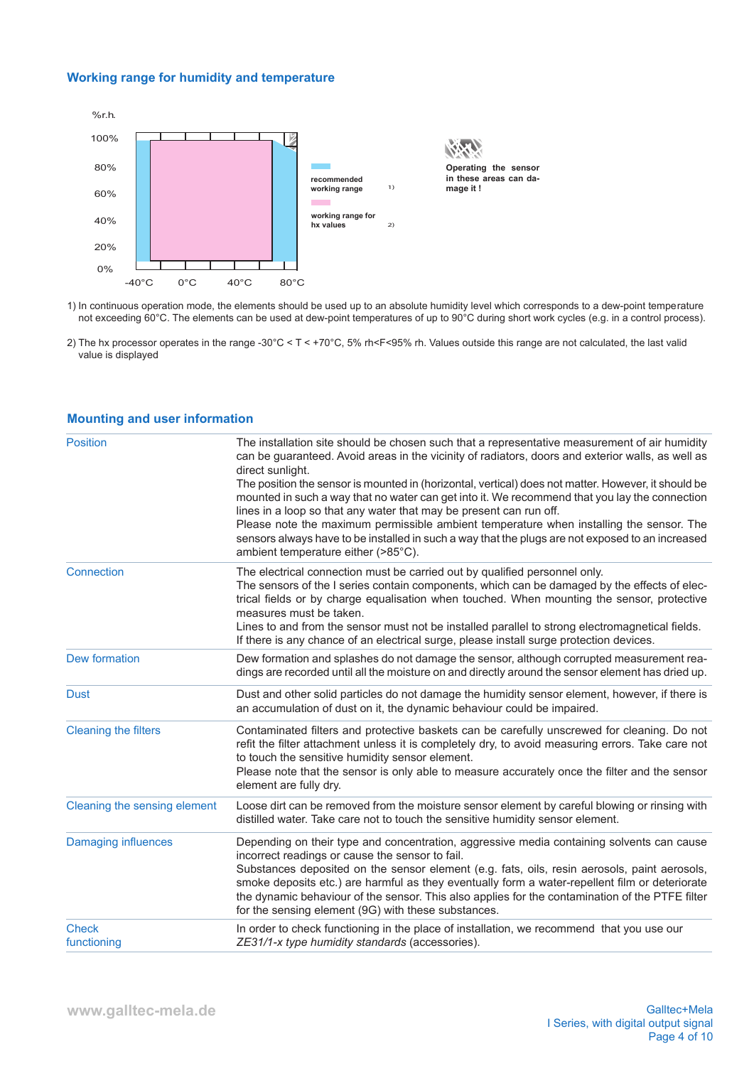# **Working range for humidity and temperature**



1) In continuous operation mode, the elements should be used up to an absolute humidity level which corresponds to a dew-point temperature not exceeding 60°C. The elements can be used at dew-point temperatures of up to 90°C during short work cycles (e.g. in a control process).

2) The hx processor operates in the range -30°C < T < +70°C, 5% rh<F<95% rh. Values outside this range are not calculated, the last valid value is displayed

| <b>Position</b>              | The installation site should be chosen such that a representative measurement of air humidity<br>can be guaranteed. Avoid areas in the vicinity of radiators, doors and exterior walls, as well as<br>direct sunlight.<br>The position the sensor is mounted in (horizontal, vertical) does not matter. However, it should be<br>mounted in such a way that no water can get into it. We recommend that you lay the connection<br>lines in a loop so that any water that may be present can run off.<br>Please note the maximum permissible ambient temperature when installing the sensor. The<br>sensors always have to be installed in such a way that the plugs are not exposed to an increased<br>ambient temperature either (>85°C). |
|------------------------------|--------------------------------------------------------------------------------------------------------------------------------------------------------------------------------------------------------------------------------------------------------------------------------------------------------------------------------------------------------------------------------------------------------------------------------------------------------------------------------------------------------------------------------------------------------------------------------------------------------------------------------------------------------------------------------------------------------------------------------------------|
| Connection                   | The electrical connection must be carried out by qualified personnel only.<br>The sensors of the I series contain components, which can be damaged by the effects of elec-<br>trical fields or by charge equalisation when touched. When mounting the sensor, protective<br>measures must be taken.<br>Lines to and from the sensor must not be installed parallel to strong electromagnetical fields.<br>If there is any chance of an electrical surge, please install surge protection devices.                                                                                                                                                                                                                                          |
| <b>Dew formation</b>         | Dew formation and splashes do not damage the sensor, although corrupted measurement rea-<br>dings are recorded until all the moisture on and directly around the sensor element has dried up.                                                                                                                                                                                                                                                                                                                                                                                                                                                                                                                                              |
| <b>Dust</b>                  | Dust and other solid particles do not damage the humidity sensor element, however, if there is<br>an accumulation of dust on it, the dynamic behaviour could be impaired.                                                                                                                                                                                                                                                                                                                                                                                                                                                                                                                                                                  |
| <b>Cleaning the filters</b>  | Contaminated filters and protective baskets can be carefully unscrewed for cleaning. Do not<br>refit the filter attachment unless it is completely dry, to avoid measuring errors. Take care not<br>to touch the sensitive humidity sensor element.<br>Please note that the sensor is only able to measure accurately once the filter and the sensor<br>element are fully dry.                                                                                                                                                                                                                                                                                                                                                             |
| Cleaning the sensing element | Loose dirt can be removed from the moisture sensor element by careful blowing or rinsing with<br>distilled water. Take care not to touch the sensitive humidity sensor element.                                                                                                                                                                                                                                                                                                                                                                                                                                                                                                                                                            |
| <b>Damaging influences</b>   | Depending on their type and concentration, aggressive media containing solvents can cause<br>incorrect readings or cause the sensor to fail.<br>Substances deposited on the sensor element (e.g. fats, oils, resin aerosols, paint aerosols,<br>smoke deposits etc.) are harmful as they eventually form a water-repellent film or deteriorate<br>the dynamic behaviour of the sensor. This also applies for the contamination of the PTFE filter<br>for the sensing element (9G) with these substances.                                                                                                                                                                                                                                   |
| <b>Check</b><br>functioning  | In order to check functioning in the place of installation, we recommend that you use our<br>ZE31/1-x type humidity standards (accessories).                                                                                                                                                                                                                                                                                                                                                                                                                                                                                                                                                                                               |

## **Mounting and user information**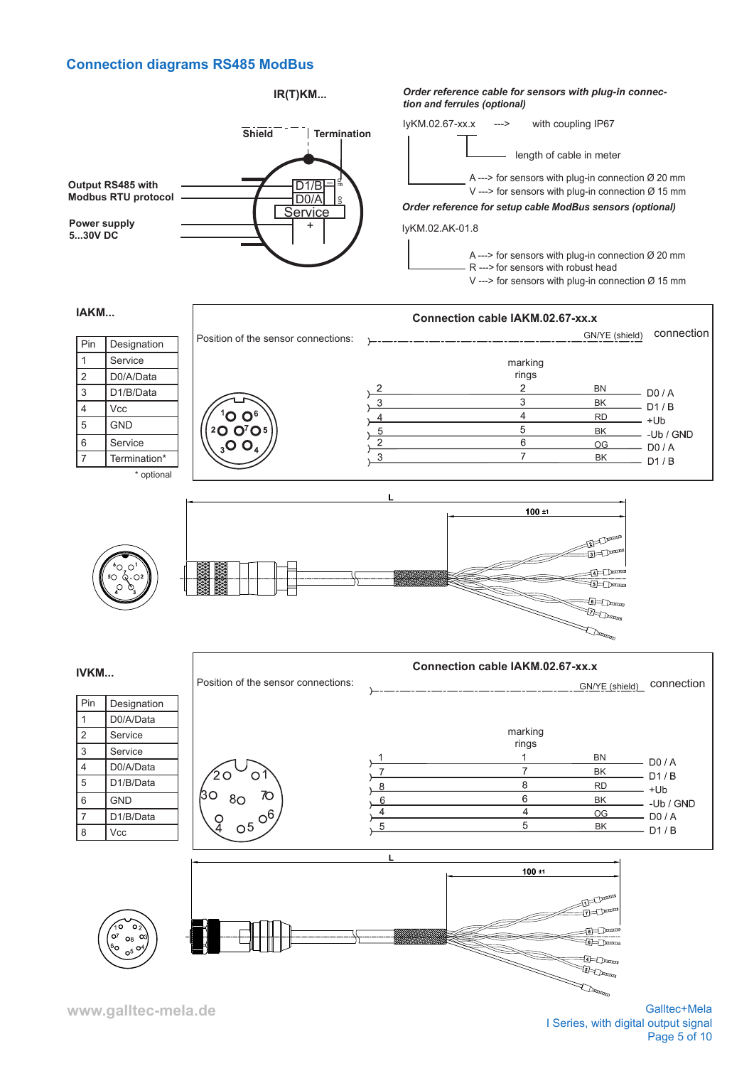# **Connection diagrams RS485 ModBus**



**www.galltec-mela.de**

Galltec+Mela I Series, with digital output signal Page 5 of 10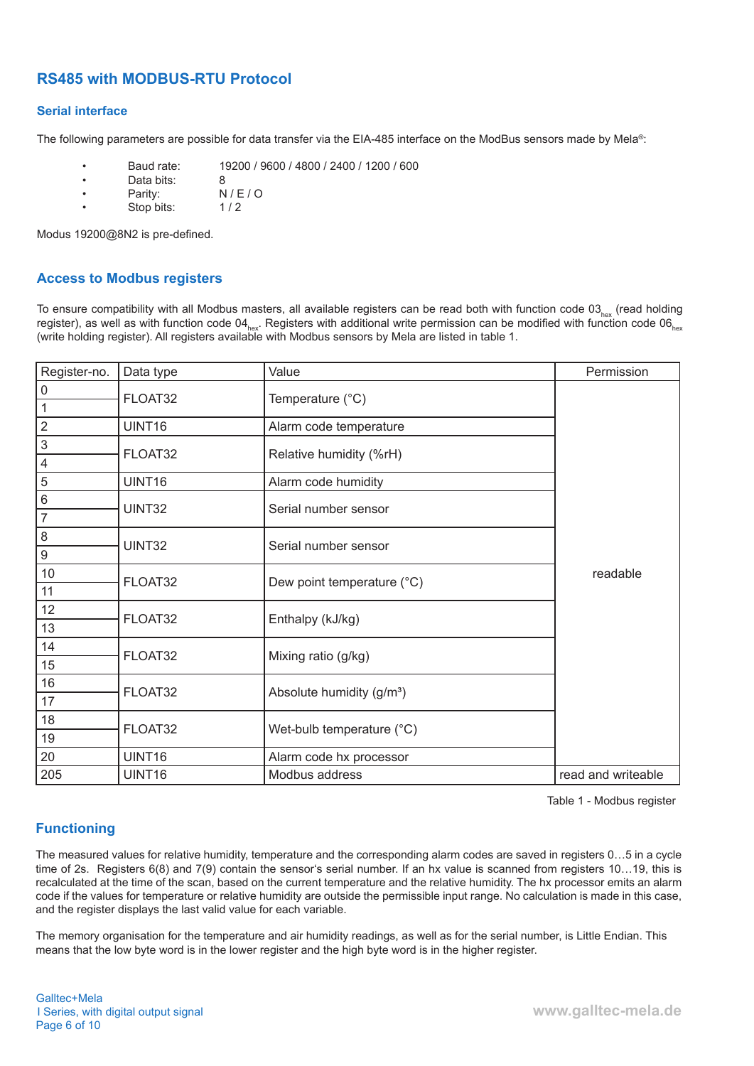# **RS485 with MODBUS-RTU Protocol**

### **Serial interface**

The following parameters are possible for data transfer via the EIA-485 interface on the ModBus sensors made by Mela®:

- Baud rate: 19200 / 9600 / 4800 / 2400 / 1200 / 600
- Data bits: 8<br>• Parity: N
- Parity: N/E/O<br>• Stop bits: 1/2
- Stop bits:

Modus 19200@8N2 is pre-defined.

# **Access to Modbus registers**

To ensure compatibility with all Modbus masters, all available registers can be read both with function code  $03_{\text{hex}}$  (read holding register), as well as with function code 04 $_{hex}$ . Registers with additional write permission can be modified with function code 06 $_{hex}$ (write holding register). All registers available with Modbus sensors by Mela are listed in table 1.

| Register-no.        | Data type | Value                                 | Permission         |
|---------------------|-----------|---------------------------------------|--------------------|
| $\mathsf{O}\xspace$ | FLOAT32   |                                       |                    |
| $\mathbf{1}$        |           | Temperature (°C)                      |                    |
| $\overline{2}$      | UINT16    | Alarm code temperature                |                    |
| $\mathsf 3$         | FLOAT32   | Relative humidity (%rH)               |                    |
| $\overline{4}$      |           |                                       |                    |
| 5                   | UINT16    | Alarm code humidity                   |                    |
| $\,6\,$             | UINT32    | Serial number sensor                  |                    |
| $\overline{7}$      |           |                                       |                    |
| $\,8\,$             | UINT32    | Serial number sensor                  |                    |
| $\boldsymbol{9}$    |           |                                       |                    |
| 10                  | FLOAT32   | Dew point temperature (°C)            | readable           |
| 11                  |           |                                       |                    |
| 12                  | FLOAT32   | Enthalpy (kJ/kg)                      |                    |
| 13                  |           |                                       |                    |
| 14                  | FLOAT32   | Mixing ratio (g/kg)                   |                    |
| 15                  |           |                                       |                    |
| 16                  | FLOAT32   | Absolute humidity (g/m <sup>3</sup> ) |                    |
| 17                  |           |                                       |                    |
| 18                  | FLOAT32   |                                       |                    |
| 19                  |           | Wet-bulb temperature (°C)             |                    |
| 20                  | UINT16    | Alarm code hx processor               |                    |
| 205                 | UINT16    | Modbus address                        | read and writeable |

Table 1 - Modbus register

# **Functioning**

The measured values for relative humidity, temperature and the corresponding alarm codes are saved in registers 0…5 in a cycle time of 2s. Registers 6(8) and 7(9) contain the sensor's serial number. If an hx value is scanned from registers 10…19, this is recalculated at the time of the scan, based on the current temperature and the relative humidity. The hx processor emits an alarm code if the values for temperature or relative humidity are outside the permissible input range. No calculation is made in this case, and the register displays the last valid value for each variable.

The memory organisation for the temperature and air humidity readings, as well as for the serial number, is Little Endian. This means that the low byte word is in the lower register and the high byte word is in the higher register.

Galltec+Mela I Series, with digital output signal Page 6 of 10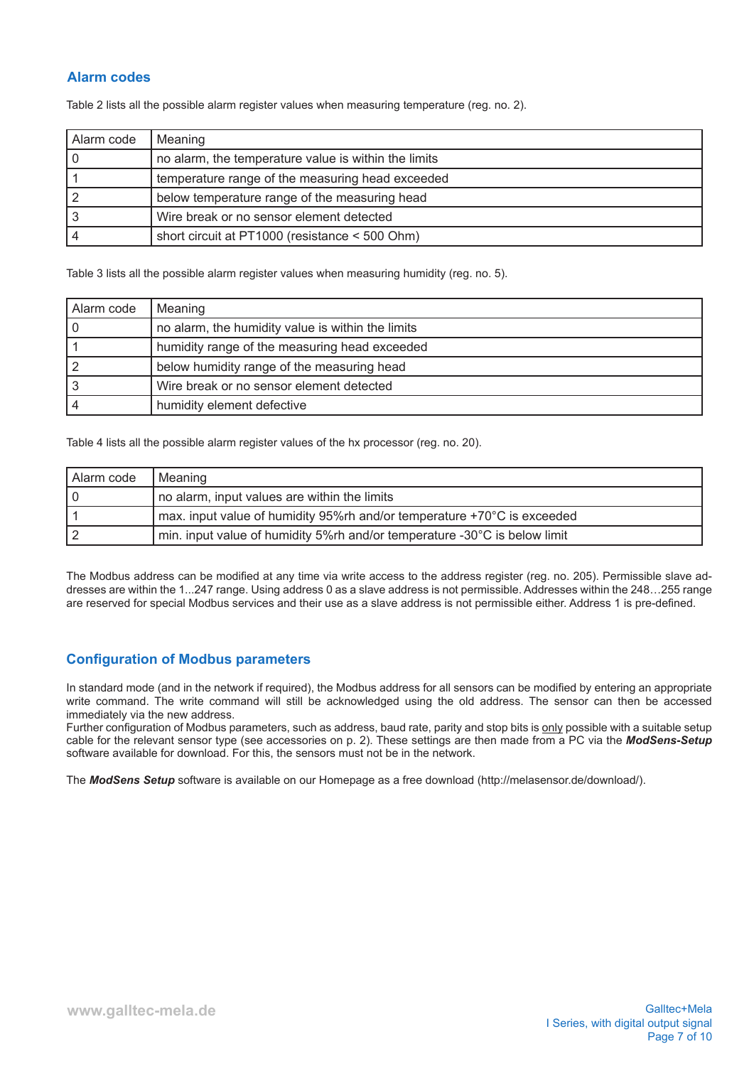# **Alarm codes**

Table 2 lists all the possible alarm register values when measuring temperature (reg. no. 2).

| Alarm code | Meaning                                              |
|------------|------------------------------------------------------|
|            | no alarm, the temperature value is within the limits |
|            | temperature range of the measuring head exceeded     |
|            | below temperature range of the measuring head        |
|            | Wire break or no sensor element detected             |
|            | short circuit at PT1000 (resistance < 500 Ohm)       |

Table 3 lists all the possible alarm register values when measuring humidity (reg. no. 5).

| Alarm code | Meaning                                           |
|------------|---------------------------------------------------|
|            | no alarm, the humidity value is within the limits |
|            | humidity range of the measuring head exceeded     |
|            | below humidity range of the measuring head        |
|            | Wire break or no sensor element detected          |
|            | humidity element defective                        |

Table 4 lists all the possible alarm register values of the hx processor (reg. no. 20).

| l Alarm code | Meaning                                                                   |
|--------------|---------------------------------------------------------------------------|
|              | no alarm, input values are within the limits                              |
|              | max. input value of humidity 95% th and/or temperature +70°C is exceeded  |
|              | min. input value of humidity 5%rh and/or temperature -30°C is below limit |

The Modbus address can be modified at any time via write access to the address register (reg. no. 205). Permissible slave addresses are within the 1...247 range. Using address 0 as a slave address is not permissible. Addresses within the 248…255 range are reserved for special Modbus services and their use as a slave address is not permissible either. Address 1 is pre-defined.

### **Configuration of Modbus parameters**

In standard mode (and in the network if required), the Modbus address for all sensors can be modified by entering an appropriate write command. The write command will still be acknowledged using the old address. The sensor can then be accessed immediately via the new address.

Further configuration of Modbus parameters, such as address, baud rate, parity and stop bits is only possible with a suitable setup cable for the relevant sensor type (see accessories on p. 2). These settings are then made from a PC via the *ModSens-Setup* software available for download. For this, the sensors must not be in the network.

The *ModSens Setup* software is available on our Homepage as a free download (http://melasensor.de/download/).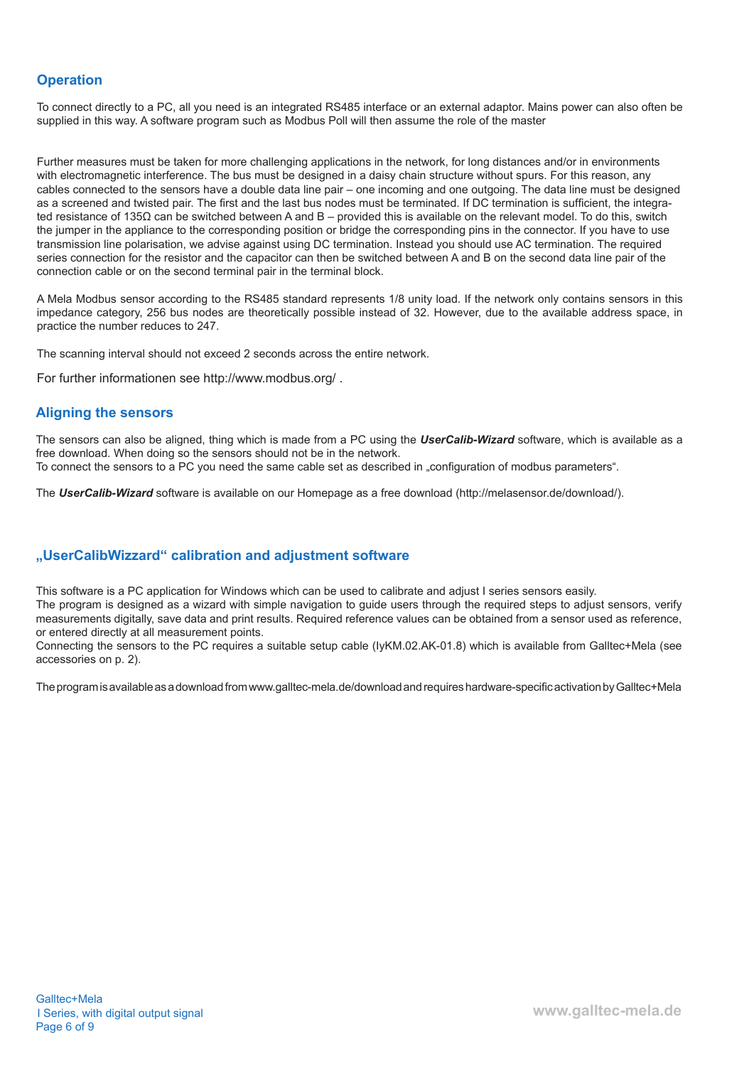# **Operation**

To connect directly to a PC, all you need is an integrated RS485 interface or an external adaptor. Mains power can also often be supplied in this way. A software program such as Modbus Poll will then assume the role of the master

Further measures must be taken for more challenging applications in the network, for long distances and/or in environments with electromagnetic interference. The bus must be designed in a daisy chain structure without spurs. For this reason, any cables connected to the sensors have a double data line pair – one incoming and one outgoing. The data line must be designed as a screened and twisted pair. The first and the last bus nodes must be terminated. If DC termination is sufficient, the integrated resistance of 135Ω can be switched between A and B – provided this is available on the relevant model. To do this, switch the jumper in the appliance to the corresponding position or bridge the corresponding pins in the connector. If you have to use transmission line polarisation, we advise against using DC termination. Instead you should use AC termination. The required series connection for the resistor and the capacitor can then be switched between A and B on the second data line pair of the connection cable or on the second terminal pair in the terminal block.

A Mela Modbus sensor according to the RS485 standard represents 1/8 unity load. If the network only contains sensors in this impedance category, 256 bus nodes are theoretically possible instead of 32. However, due to the available address space, in practice the number reduces to 247.

The scanning interval should not exceed 2 seconds across the entire network.

For further informationen see http://www.modbus.org/ .

### **Aligning the sensors**

The sensors can also be aligned, thing which is made from a PC using the *UserCalib-Wizard* software, which is available as a free download. When doing so the sensors should not be in the network. To connect the sensors to a PC you need the same cable set as described in "configuration of modbus parameters".

The *UserCalib-Wizard* software is available on our Homepage as a free download (http://melasensor.de/download/).

### **"UserCalibWizzard" calibration and adjustment software**

This software is a PC application for Windows which can be used to calibrate and adjust I series sensors easily.

The program is designed as a wizard with simple navigation to guide users through the required steps to adjust sensors, verify measurements digitally, save data and print results. Required reference values can be obtained from a sensor used as reference, or entered directly at all measurement points.

Connecting the sensors to the PC requires a suitable setup cable (IyKM.02.AK-01.8) which is available from Galltec+Mela (see accessories on p. 2).

The program is available as a download from www.galltec-mela.de/download and requires hardware-specific activation by Galltec+Mela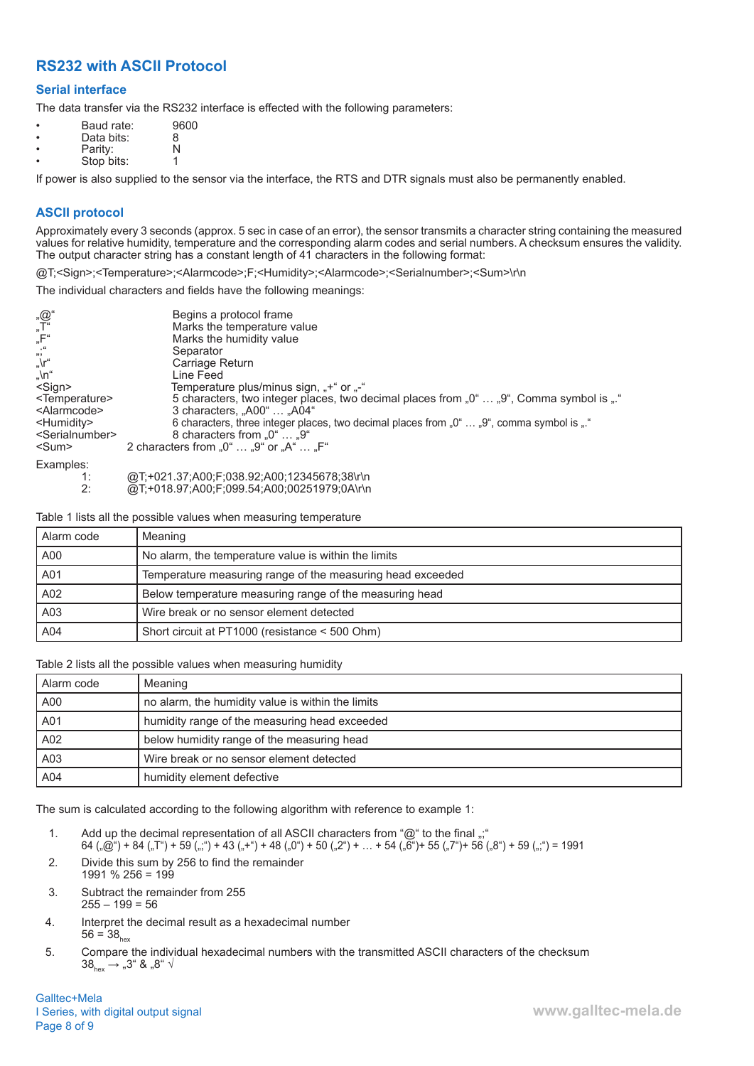# **RS232 with ASCII Protocol**

### **Serial interface**

The data transfer via the RS232 interface is effected with the following parameters:

| $\bullet$ | Baud rate: | 9600 |
|-----------|------------|------|
| $\bullet$ | Data bits: | 8    |
| $\bullet$ | Parity:    | N    |
|           | Stop bits: |      |

If power is also supplied to the sensor via the interface, the RTS and DTR signals must also be permanently enabled.

### **ASCII protocol**

Approximately every 3 seconds (approx. 5 sec in case of an error), the sensor transmits a character string containing the measured values for relative humidity, temperature and the corresponding alarm codes and serial numbers. A checksum ensures the validity. The output character string has a constant length of 41 characters in the following format:

@T;<Sign>;<Temperature>;<Alarmcode>;F;<Humidity>;<Alarmcode>;<Serialnumber>;<Sum>\r\n

The individual characters and fields have the following meanings:

| $\underset{''}{\circledcirc} \overline{\mathbb{Q}}^{u}$<br>"F"<br>$\int_{\eta}^{\eta}$<br>$\int$ , \n <sup>"</sup><br>$<$ Sign $>$<br><temperature><br/><alarmcode><br/><humidity><br/><serialnumber><br/><math>&lt;</math>Sum<math>&gt;</math></serialnumber></humidity></alarmcode></temperature> | Begins a protocol frame<br>Marks the temperature value<br>Marks the humidity value<br>Separator<br>Carriage Return<br>Line Feed<br>Temperature plus/minus sign, "+" or "-"<br>5 characters, two integer places, two decimal places from "0"  "9", Comma symbol is "."<br>3 characters. "A00"  "A04"<br>6 characters, three integer places, two decimal places from "0"  "9", comma symbol is "."<br>8 characters from $.0^{\circ}$ $.9^{\circ}$<br>2 characters from $,0^{\circ} \dots 0^{\circ}$ or $,A^{\circ} \dots 0^{\circ}$ |
|-----------------------------------------------------------------------------------------------------------------------------------------------------------------------------------------------------------------------------------------------------------------------------------------------------|-----------------------------------------------------------------------------------------------------------------------------------------------------------------------------------------------------------------------------------------------------------------------------------------------------------------------------------------------------------------------------------------------------------------------------------------------------------------------------------------------------------------------------------|
| Examples:                                                                                                                                                                                                                                                                                           |                                                                                                                                                                                                                                                                                                                                                                                                                                                                                                                                   |
| 1:<br>2:                                                                                                                                                                                                                                                                                            | @T;+021.37;A00;F;038.92;A00;12345678;38\r\n<br>@T;+018.97;A00;F;099.54;A00;00251979;0A\r\n                                                                                                                                                                                                                                                                                                                                                                                                                                        |

Table 1 lists all the possible values when measuring temperature

| Alarm code | Meaning                                                    |
|------------|------------------------------------------------------------|
| A00        | No alarm, the temperature value is within the limits       |
| A01        | Temperature measuring range of the measuring head exceeded |
| A02        | Below temperature measuring range of the measuring head    |
| A03        | Wire break or no sensor element detected                   |
| A04        | Short circuit at PT1000 (resistance < 500 Ohm)             |

Table 2 lists all the possible values when measuring humidity

| Alarm code | Meaning                                           |
|------------|---------------------------------------------------|
| A00        | no alarm, the humidity value is within the limits |
| A01        | humidity range of the measuring head exceeded     |
| A02        | below humidity range of the measuring head        |
| A03        | Wire break or no sensor element detected          |
| A04        | humidity element defective                        |

The sum is calculated according to the following algorithm with reference to example 1:

1. Add up the decimal representation of all ASCII characters from "@" to the final ";"

 $64 \,$   $\ldots$   $(60^\circ)$  + 84  $\ldots$   $(7^\circ)$  + 59  $\ldots$  + 43  $\ldots$  + 48  $\ldots$  + 48  $\ldots$  + 50  $\ldots$  + 54  $\ldots$   $(56^\circ)$  + 55  $\ldots$  + 56  $\ldots$   $(8^\circ)$  + 59  $\ldots$   $(9^\circ)$  = 1991

- 2. Divide this sum by 256 to find the remainder 1991 % 256 = 199
- 3. Subtract the remainder from 255  $255 - 199 = 56$
- 4. Interpret the decimal result as a hexadecimal number  $56 = 38$ <sub>hex</sub>
- 5. Compare the individual hexadecimal numbers with the transmitted ASCII characters of the checksum  $38_{\text{hex}} \rightarrow .3^{\circ} 8 .3^{\circ} \sqrt{8}$